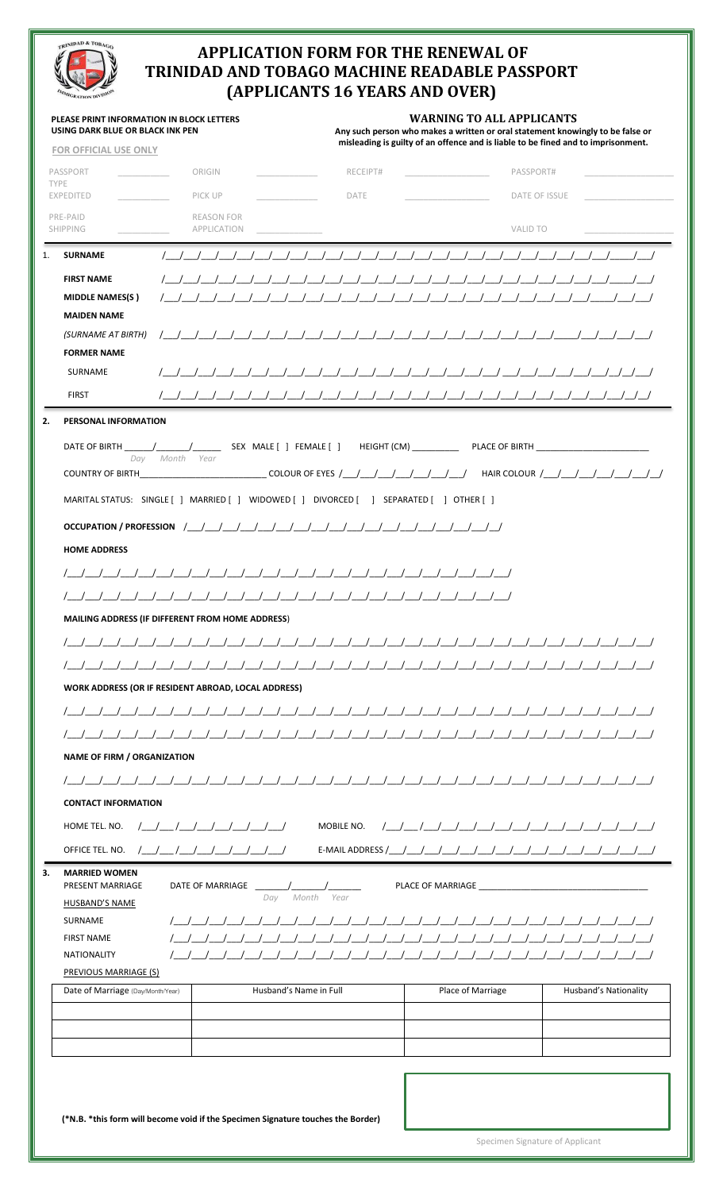

## **APPLICATION FORM FOR THE RENEWAL OF TRINIDAD AND TOBAGO MACHINE READABLE PASSPORT (APPLICANTS 16 YEARS AND OVER)**

| <b>WARNING TO ALL APPLICANTS</b><br>Any such person who makes a written or oral statement knowingly to be false or<br>misleading is guilty of an offence and is liable to be fined and to imprisonment. |                   |                                                                                                                               |  |  |  |  |  |  |
|---------------------------------------------------------------------------------------------------------------------------------------------------------------------------------------------------------|-------------------|-------------------------------------------------------------------------------------------------------------------------------|--|--|--|--|--|--|
| RECEIPT#                                                                                                                                                                                                | PASSPORT#         |                                                                                                                               |  |  |  |  |  |  |
| DATE                                                                                                                                                                                                    | DATE OF ISSUE     |                                                                                                                               |  |  |  |  |  |  |
|                                                                                                                                                                                                         | <b>VALID TO</b>   |                                                                                                                               |  |  |  |  |  |  |
|                                                                                                                                                                                                         |                   |                                                                                                                               |  |  |  |  |  |  |
|                                                                                                                                                                                                         |                   |                                                                                                                               |  |  |  |  |  |  |
|                                                                                                                                                                                                         |                   |                                                                                                                               |  |  |  |  |  |  |
|                                                                                                                                                                                                         |                   |                                                                                                                               |  |  |  |  |  |  |
|                                                                                                                                                                                                         |                   |                                                                                                                               |  |  |  |  |  |  |
|                                                                                                                                                                                                         |                   |                                                                                                                               |  |  |  |  |  |  |
|                                                                                                                                                                                                         |                   |                                                                                                                               |  |  |  |  |  |  |
|                                                                                                                                                                                                         |                   |                                                                                                                               |  |  |  |  |  |  |
|                                                                                                                                                                                                         |                   |                                                                                                                               |  |  |  |  |  |  |
|                                                                                                                                                                                                         |                   |                                                                                                                               |  |  |  |  |  |  |
| Day Month Year                                                                                                                                                                                          |                   |                                                                                                                               |  |  |  |  |  |  |
|                                                                                                                                                                                                         |                   |                                                                                                                               |  |  |  |  |  |  |
| MARITAL STATUS: SINGLE [O] MARRIED [O] WIDOWED [O] DIVORCED [O] SEPARATED [O] OTHER [O]                                                                                                                 |                   |                                                                                                                               |  |  |  |  |  |  |
|                                                                                                                                                                                                         |                   |                                                                                                                               |  |  |  |  |  |  |
| <b>HOME ADDRESS</b>                                                                                                                                                                                     |                   |                                                                                                                               |  |  |  |  |  |  |
|                                                                                                                                                                                                         |                   |                                                                                                                               |  |  |  |  |  |  |
|                                                                                                                                                                                                         |                   |                                                                                                                               |  |  |  |  |  |  |
|                                                                                                                                                                                                         |                   |                                                                                                                               |  |  |  |  |  |  |
| MAILING ADDRESS (IF DIFFERENT FROM HOME ADDRESS)                                                                                                                                                        |                   |                                                                                                                               |  |  |  |  |  |  |
|                                                                                                                                                                                                         |                   |                                                                                                                               |  |  |  |  |  |  |
|                                                                                                                                                                                                         |                   |                                                                                                                               |  |  |  |  |  |  |
| WORK ADDRESS (OR IF RESIDENT ABROAD, LOCAL ADDRESS)                                                                                                                                                     |                   |                                                                                                                               |  |  |  |  |  |  |
|                                                                                                                                                                                                         |                   |                                                                                                                               |  |  |  |  |  |  |
|                                                                                                                                                                                                         |                   |                                                                                                                               |  |  |  |  |  |  |
| <b>NAME OF FIRM / ORGANIZATION</b>                                                                                                                                                                      |                   |                                                                                                                               |  |  |  |  |  |  |
|                                                                                                                                                                                                         |                   |                                                                                                                               |  |  |  |  |  |  |
|                                                                                                                                                                                                         |                   |                                                                                                                               |  |  |  |  |  |  |
| <b>CONTACT INFORMATION</b>                                                                                                                                                                              |                   |                                                                                                                               |  |  |  |  |  |  |
| HOME TEL. NO.<br>MOBILE NO.                                                                                                                                                                             |                   |                                                                                                                               |  |  |  |  |  |  |
| OFFICE TEL. NO. /__/__/__/__/__/__/__/__/                                                                                                                                                               |                   |                                                                                                                               |  |  |  |  |  |  |
| <b>MARRIED WOMEN</b><br>PRESENT MARRIAGE<br>DATE OF MARRIAGE / /<br>PLACE OF MARRIAGE<br>Day Month Year                                                                                                 |                   |                                                                                                                               |  |  |  |  |  |  |
| <b>HUSBAND'S NAME</b>                                                                                                                                                                                   |                   |                                                                                                                               |  |  |  |  |  |  |
| <b>SURNAME</b><br>///////////////////////<br><b>FIRST NAME</b>                                                                                                                                          |                   |                                                                                                                               |  |  |  |  |  |  |
| <b>NATIONALITY</b>                                                                                                                                                                                      |                   |                                                                                                                               |  |  |  |  |  |  |
|                                                                                                                                                                                                         |                   | PREVIOUS MARRIAGE (S)                                                                                                         |  |  |  |  |  |  |
|                                                                                                                                                                                                         |                   |                                                                                                                               |  |  |  |  |  |  |
| Husband's Name in Full                                                                                                                                                                                  | Place of Marriage |                                                                                                                               |  |  |  |  |  |  |
|                                                                                                                                                                                                         |                   | <b>Husband's Nationality</b>                                                                                                  |  |  |  |  |  |  |
|                                                                                                                                                                                                         |                   |                                                                                                                               |  |  |  |  |  |  |
|                                                                                                                                                                                                         |                   |                                                                                                                               |  |  |  |  |  |  |
|                                                                                                                                                                                                         |                   | COUNTRY OF BIRTH___________________________COLOUR OF EYES /___/___/___/___/___/___/___/  HAIR COLOUR /___/___/___/___/___/__/ |  |  |  |  |  |  |

Specimen Signature of Applicant